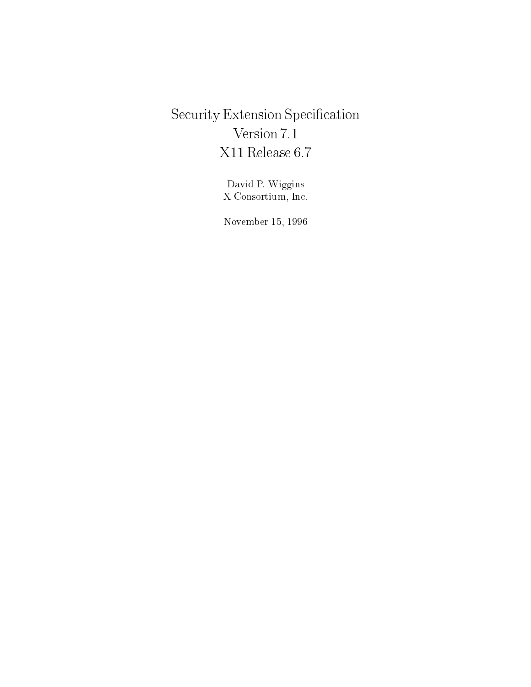# Security Extension Specification Version 7.1 X11 Release 6.7

David P. Wiggins X Consortium, In
.

. . . . . . . . . . . . . . .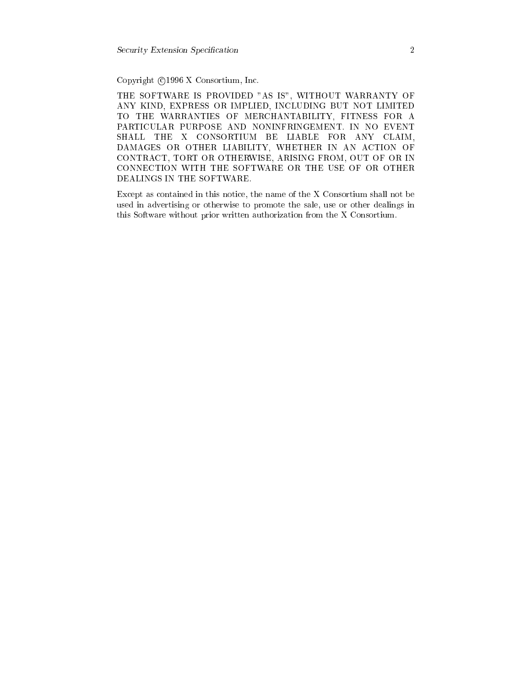Copyright ©1996 X Consortium, Inc.

THE SOFTWARE IS PROVIDED "AS IS", WITHOUT WARRANTY OF ANY KIND, EXPRESS OR IMPLIED, INCLUDING BUT NOT LIMITED TO THE WARRANTIES OF MERCHANTABILITY, FITNESS FOR A PARTICULAR PURPOSE AND NONINFRINGEMENT. IN NO EVENT SHALL THE X CONSORTIUM BE LIABLE FOR ANY CLAIM, DAMAGES OR OTHER LIABILITY, WHETHER IN AN ACTION OF CONTRACT, TORT OR OTHERWISE, ARISING FROM, OUT OF OR IN CONNECTION WITH THE SOFTWARE OR THE USE OF OR OTHER DEALINGS IN THE SOFTWARE.

Except as contained in this notice, the name of the X Consortium shall not be used in advertising or otherwise to promote the sale, use or other dealings in this Software without prior written authorization from the X Consortium.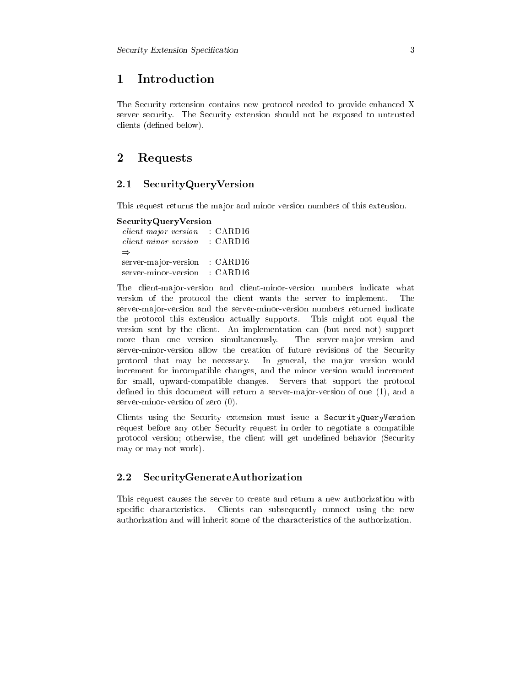#### **Introduction** 1

The Security extension contains new protocol needed to provide enhanced X server security. The Security extension should not be exposed to untrusted clients (defined below).

## 2 Requests

#### 2.1 SecurityQueryVersion

This request returns the major and minor version numbers of this extension.

### Se
urityQueryVersion

lient-major-version : CARD16  $\Rightarrow$ server-major-version : CARD16 server-minor-version : CARD16

The client-major-version and client-minor-version numbers indicate what version of the protocol the client wants the server to implement. The server-ma jor-version and the server-minor-version numbers returned indi
ate the proto
ol this extension a
tually supports. This might not equal the version sent by the client. An implementation can (but need not) support more than one version simultaneously. The server-major-version and server-minor-version allow the creation of future revisions of the Security protocol that may be necessary. In general, the major version would increment for incompatible changes, and the minor version would increment for small, upward-compatible changes. Servers that support the protocol defined in this document will return a server-major-version of one (1), and a server-minor-version of zero (0).

Clients using the Security extension must issue a SecurityQueryVersion request before any other Security request in order to negotiate a compatible protocol version; otherwise, the client will get undefined behavior (Security may or may not work).

#### 2.2 **SecurityGenerateAuthorization**

This request causes the server to create and return a new authorization with specific characteristics. Clients can subsequently connect using the new authorization and will inherit some of the hara
teristi
s of the authorization.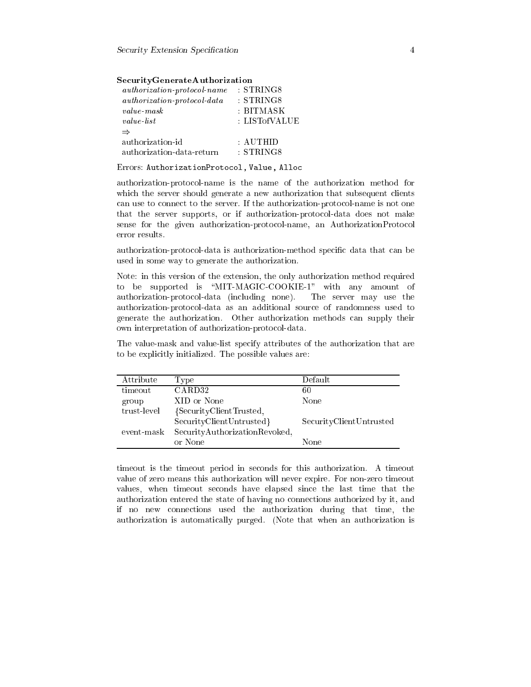| <i>authorization-protocol-name</i> | : STRING8    |
|------------------------------------|--------------|
| $authorization-protocol-data$      | $:$ STRING8  |
| <i>value</i> mask                  | : BITMASK    |
| <i>value</i> list                  | : LISTofVALU |
| $\Rightarrow$                      |              |
| authorization-id                   | : AUTHID     |
| authorization-data-return          | : STRING8    |

Errors: AuthorizationProto
ol, Value, Allo

authorization-proto
ol-name is the name of the authorization method for which the server should generate a new authorization that subsequent clients an use to onne
t to the server. If the authorization-proto
ol-name is not one that the server supports, or if authorization-proto
ol-data does not make sense for the given authorization-protocol-name, an AuthorizationProtocol error results.

authorization-protocol-data is authorization-method specific data that can be used in some way to generate the authorization.

Note: in this version of the extension, the only authorization method required to be supported is "MIT-MAGIC-COOKIE-1" with any amount of authorization-proto
ol-data (in
luding none). The server may use the authorization-proto
ol-data as an additional sour
e of randomness used to generate the authorization. Other authorization methods an supply their own interpretation of authorization-proto
ol-data.

The value-mask and value-list specify attributes of the authorization that are to be explicitly initialized. The possible values are:

| Attribute   | Type                          | Default                 |
|-------------|-------------------------------|-------------------------|
| timeout     | CARD32                        | 60                      |
| group       | XID or None                   | None                    |
| trust-level | {SecurityClientTrusted,       |                         |
|             | SecurityClientUntrusted}      | SecurityClientUntrusted |
| event-mask  | SecurityAuthorizationRevoked, |                         |
|             | or None                       | None                    |

timeout is the timeout period in seconds for this authorization. A timeout value of zero means this authorization will never expire. For non-zero timeout values, when timeout seconds have elapsed since the last time that the authorization entered the state of having no onne
tions authorized by it, and if no new onne
tions used the authorization during that time, the authorization is automati
ally purged. (Note that when an authorization is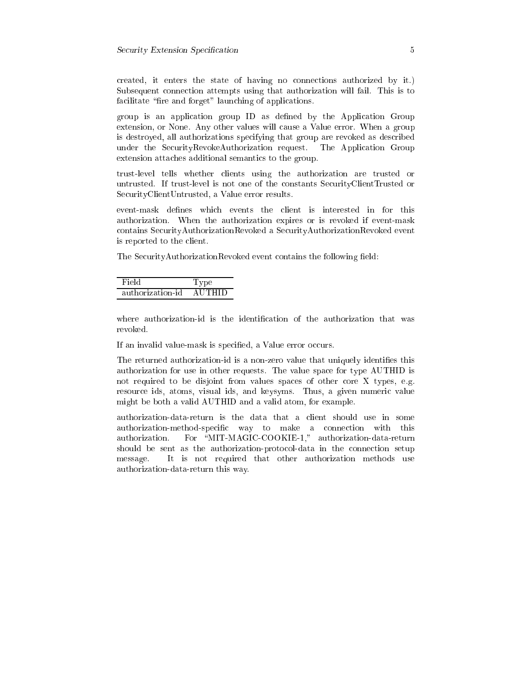reated, it enters the state of having no onne
tions authorized by it.) Subsequent connection attempts using that authorization will fail. This is to facilitate "fire and forget" launching of applications.

group is an appli
ation group ID as dened by the Appli
ation Group extension, or None. Any other values will cause a Value error. When a group is destroyed, all authorizations spe
ifying that group are revoked as des
ribed under the SecurityRevokeAuthorization request. The Application Group extension attaches additional semantics to the group.

trust-level tells whether lients using the authorization are trusted or untrusted. If trust-level is not one of the onstants Se
urityClientTrusted or Se
urityClientUntrusted, a Value error results.

event-mask defines which events the client is interested in for this authorization. When the authorization expires or is revoked if event-mask ontains Se
urityAuthorizationRevoked a Se
urityAuthorizationRevoked event is reported to the lient.

The SecurityAuthorizationRevoked event contains the following field:

| Field            | Type          |
|------------------|---------------|
| authorization-id | <b>AUTHID</b> |

where authorization-id is the identification of the authorization that was revoked.

If an invalid value-mask is specified, a Value error occurs.

The returned authorization-id is a non-zero value that uniquely identifies this authorization for use in other requests. The value spa
e for type AUTHID is not required to be disjoint from values spa
es of other ore X types, e.g. resource ids, atoms, visual ids, and keysyms. Thus, a given numeric value might be both a valid AUTHID and a valid atom, for example.

authorization-data-return is the data that a lient should use in some authorization-method-specific way to make a connection with this authorization. For \MIT-MAGIC-COOKIE-1," authorization-data-return should be sent as the authorization-protocol-data in the connection setup message. It is not required that other authorization methods use authorization-data-return this way.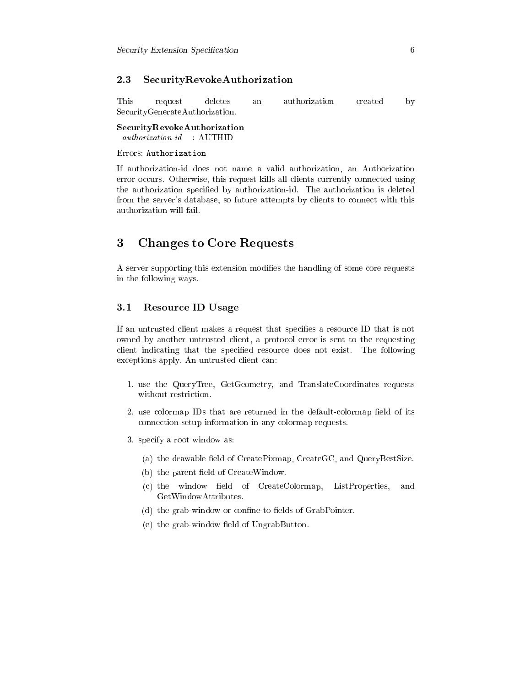## 2.3 Se
urityRevokeAuthorization

This authorization created an This request deletes an authorization and authorization and authorization and authorization and authorization and Se
urityGenerateAuthorization.

Se
urityRevokeAuthorization

## Errors: Authorization

If authorization-id does not name a valid authorization, an Authorization error occurs. Otherwise, this request kills all clients currently connected using the authorization specified by authorization-id. The authorization is deleted from the server's database, so future attempts by clients to connect with this authorization will fail.

## 3 Changes to Core Requests

A server supporting this extension modifies the handling of some core requests in the following ways.

## 3.1 Resour
e ID Usage

If an untrusted client makes a request that specifies a resource ID that is not owned by another untrusted lient, a proto
ol error is sent to the requesting client indicating that the specified resource does not exist. The following exceptions apply. An untrusted client can:

- 1. use the QueryTree, GetGeometry, and TranslateCoordinates requests without restriction.
- 2. use colormap IDs that are returned in the default-colormap field of its onne
tion setup information in any olormap requests.
- 3. spe
ify a root window as:
	- (a) the drawable field of CreatePixmap, CreateGC, and QueryBestSize.
	- (b) the parent field of CreateWindow.
	- (c) the window field of CreateColormap, ListProperties, and GetWindowAttributes.
	- (d) the grab-window or confine-to fields of GrabPointer.
	- $(e)$  the grab-window field of UngrabButton.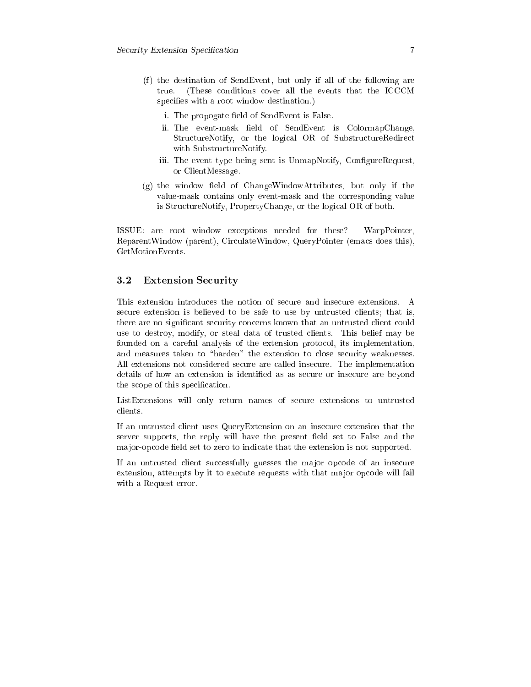- (f) the destination of SendEvent, but only if all of the following are true. (These onditions over all the events that the ICCCM specifies with a root window destination.)
	- i. The propogate field of SendEvent is False.
	- ii. The event-mask field of SendEvent is ColormapChange, StructureNotify, or the logical OR of SubstructureRedirect with SubstructureNotify.
	- iii. The event type being sent is UnmapNotify, ConfigureRequest, or ClientMessage.
- $(g)$  the window field of ChangeWindowAttributes, but only if the value-mask ontains only event-mask and the orresponding value is Stru
tureNotify, PropertyChange, or the logi
al OR of both.

ISSUE: are root window ex
eptions needed for these? WarpPointer, ReparentWindow (parent), Cir
ulateWindow, QueryPointer (ema
s does this), GetMotionEvents.

## 3.2 Extension Se
urity

This extension introduces the notion of secure and insecure extensions. A secure extension is believed to be safe to use by untrusted clients; that is, there are no significant security concerns known that an untrusted client could use to destroy, modify, or steal data of trusted lients. This belief may be founded on a careful analysis of the extension protocol, its implementation, and measures taken to "harden" the extension to close security weaknesses. All extensions not onsidered se
ure are alled inse
ure. The implementation details of how an extension is identified as as secure or insecure are beyond the scope of this specification.

ListExtensions will only return names of secure extensions to untrusted

If an untrusted lient uses QueryExtension on an inse
ure extension that the server supports, the reply will have the present field set to False and the major-opcode field set to zero to indicate that the extension is not supported.

If an untrusted client successfully guesses the major opcode of an insecure extension, attempts by it to execute requests with that major opcode will fail with a Request error.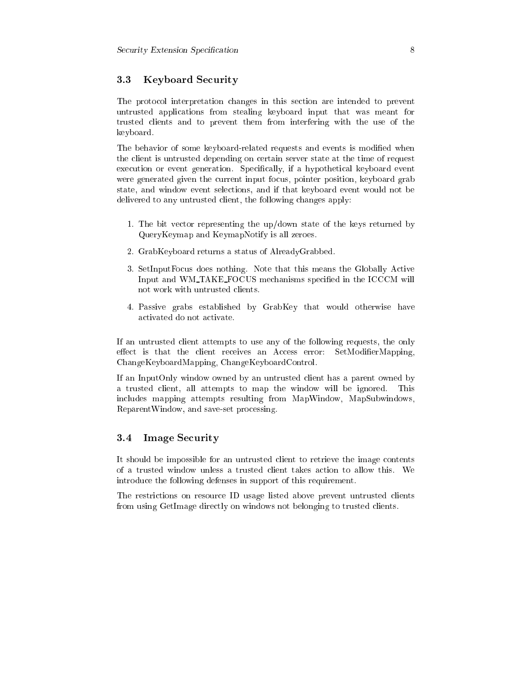## 3.3 Keyboard Se
urity

The proto
ol interpretation hanges in this se
tion are intended to prevent untrusted appli
ations from stealing keyboard input that was meant for trusted lients and to prevent them from interfering with the use of the keyboard.

The behavior of some keyboard-related requests and events is modified when the lient is untrusted depending on ertain server state at the time of request execution or event generation. Specifically, if a hypothetical keyboard event were generated given the current input focus, pointer position, keyboard grab state, and window event sele
tions, and if that keyboard event would not be delivered to any untrusted client, the following changes apply:

- 1. The bit ve
tor representing the up/down state of the keys returned by QueryKeymap and KeymapNotify is all zeroes.
- 2. GrabKeyboard returns a status of AlreadyGrabbed.
- 3. SetInputFocus does nothing. Note that this means the Globally Active Input and WM\_TAKE\_FOCUS mechanisms specified in the ICCCM will not work with untrusted lients.
- 4. Passive grabs established by GrabKey that would otherwise have a
tivated do not a
tivate.

If an untrusted lient attempts to use any of the following requests, the only effect is that the client receives an Access error: SetModifierMapping, ChangeKeyboardMapping, ChangeKeyboardControl.

If an InputOnly window owned by an untrusted lient has a parent owned by a trusted lient, all attempts to map the window will be ignored. This in
ludes mapping attempts resulting from MapWindow, MapSubwindows, ReparentWindow, and save-set pro
essing.

#### 3.4 Image Security

It should be impossible for an untrusted lient to retrieve the image ontents of a trusted window unless a trusted lient takes a
tion to allow this. We introdu
e the following defenses in support of this requirement.

The restri
tions on resour
e ID usage listed above prevent untrusted lients from using GetImage directly on windows not belonging to trusted clients.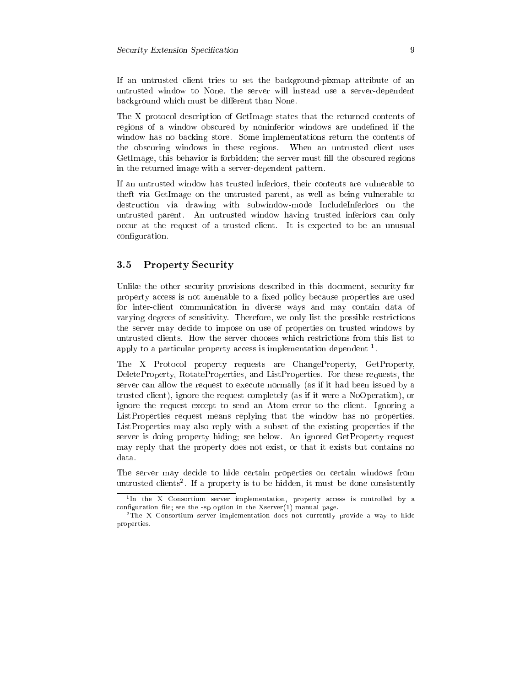If an untrusted client tries to set the background-pixmap attribute of an untrusted window to None, the server will instead use a server-dependent background which must be different than None.

The X protocol description of GetImage states that the returned contents of regions of a window obs
ured by noninferior windows are undened if the window has no backing store. Some implementations return the contents of the obscuring windows in these regions. When an untrusted client uses GetImage, this behavior is forbidden; the server must fill the obscured regions in the returned image with a server-dependent pattern.

If an untrusted window has trusted inferiors, their ontents are vulnerable to theft via GetImage on the untrusted parent, as well as being vulnerable to destruction via drawing with subwindow-mode IncludeInferiors on the untrusted parent. An untrusted window having trusted inferiors an only occur at the request of a trusted client. It is expected to be an unusual configuration.

#### Property Security  $3.5\,$

Unlike the other security provisions described in this document, security for property access is not amenable to a fixed policy because properties are used for inter-client communication in diverse ways and may contain data of varying degrees of sensitivity. Therefore, we only list the possible restri
tions the server may decide to impose on use of properties on trusted windows by untrusted lients. How the server hooses whi
h restri
tions from this list to appry to a particular property access is implementation dependent  $\cdot$ .

The X Protocol property requests are ChangeProperty, GetProperty, DeleteProperty, RotateProperties, and ListProperties. For these requests, the server can allow the request to execute normally (as if it had been issued by a trusted lient), ignore the request ompletely (as if it were a NoOperation), or ignore the request ex
ept to send an Atom error to the lient. Ignoring a ListProperties request means replying that the window has no properties. ListProperties may also reply with a subset of the existing properties if the server is doing property hiding; see below. An ignored GetProperty request may reply that the property does not exist, or that it exists but ontains no data.

The server may decide to hide certain properties on certain windows from untrusted chents". It a property is to be muden, it must be done consistently

The the  $\Lambda$  Consortium server implementation, property access is controlled by a onguration le; see the -sp option in the Xserver(1) manual page.

 $\overline{\ }$  rne  $\overline{\Lambda}$  Consortium server implementation does not currently provide a way to mule properties.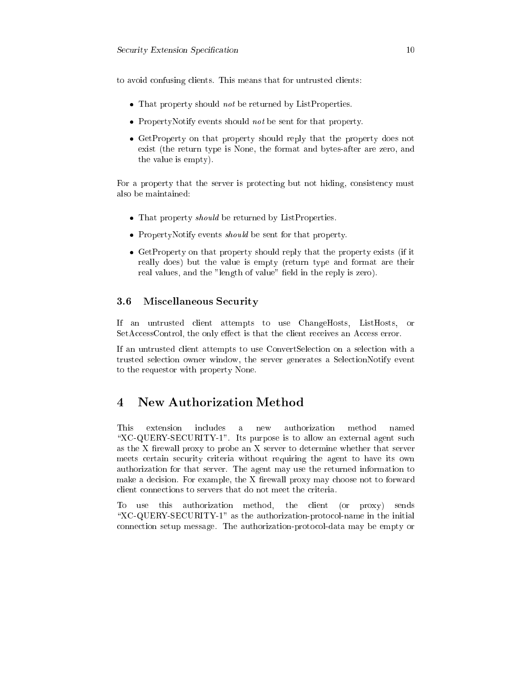to avoid onfusing lients. This means that for untrusted lients:

- That property should not be returned by ListProperties.
- PropertyNotify events should not be sent for that property.
- GetProperty on the property should reply that the property does not not exist (the return type is None, the format and bytes-after are zero, and the value is empty).

For a property that the server is protecting but not hiding, consistency must also be maintained:

- That property should be returned by ListProperties.
- PropertyNotify events should be sent for that property.
- GetProperty on that property should reply that the property exists (if it really does) but the value is empty (return type and format are their real values, and the "length of value" field in the reply is zero).

## 3.6 Mis
ellaneous Se
urity

If an untrusted lient attempts to use ChangeHosts, ListHosts, or SetAccessControl, the only effect is that the client receives an Access error.

If an untrusted lient attempts to use ConvertSele
tion on a sele
tion with a trusted sele
tion owner window, the server generates a Sele
tionNotify event to the requestor with property None.

#### **New Authorization Method**  $\overline{\mathbf{4}}$

 $\overline{a}$ "XC-QUERY-SECURITY-1". Its purpose is to allow an external agent such as the X firewall proxy to probe an  $X$  server to determine whether that server meets certain security criteria without requiring the agent to have its own authorization for that server. The agent may use the returned information to make a decision. For example, the X firewall proxy may choose not to forward client connections to servers that do not meet the criteria.

To use this authorization method, the lient (or proxy) sends "XC-QUERY-SECURITY-1" as the authorization-protocol-name in the initial onne
tion setup message. The authorization-proto
ol-data may be empty or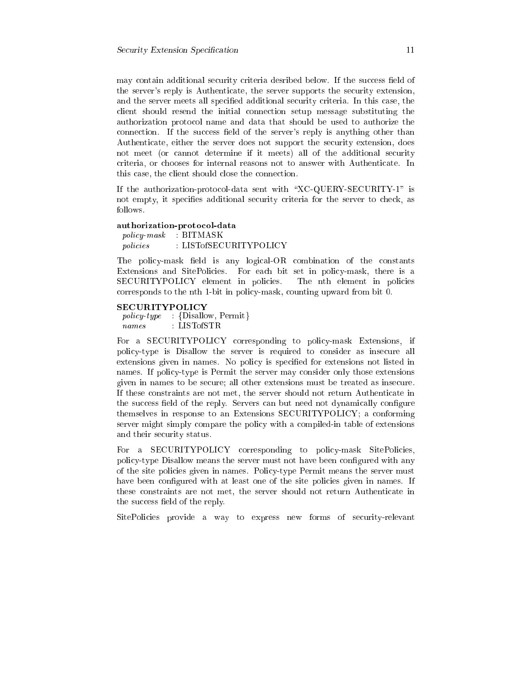may contain additional security criteria desribed below. If the success field of the server's reply is Authenti
ate, the server supports the se
urity extension, and the server meets all specified additional security criteria. In this case, the lient should resend the initial onne
tion setup message substituting the authorization proto
ol name and data that should be used to authorize the connection. If the success field of the server's reply is anything other than Authenti
ate, either the server does not support the se
urity extension, does not meet (or annot determine if it meets) all of the additional se
urity riteria, or hooses for internal reasons not to answer with Authenti
ate. In this case, the client should close the connection. this connection is a set of the should be a set of the should be a set of the should be a set of the should be

If the authorization-protocol-data sent with "XC-QUERY-SECURITY-1" is not empty, it specifies additional security criteria for the server to check, as follows.

## authorization-proto
ol-data

poli
y-mask : BITMASK *policies* : LISTofSECURITYPOLICY

The policy-mask field is any logical-OR combination of the constants Extensions and SitePolicies. For each bit set in policy-mask, there is a SECURITYPOLICY element in policies. The nth element in policies orresponds to the nth 1-bit in poli
y-mask, ounting upward from bit 0.

### **SECURITYPOLICY**

poli
y-type : fDisallow, Permitg names: LISTofSTR

For a SECURITYPOLICY corresponding to policy-mask Extensions, if policy-type is Disallow the server is required to consider as insecure all extensions given in names. No policy is specified for extensions not listed in names. If policy-type is Permit the server may consider only those extensions given in names to be se
ure; all other extensions must be treated as inse
ure. If these onstraints are not met, the server should not return Authenti
ate in the success field of the reply. Servers can but need not dynamically configure themselves in response to an Extensions SECURITYPOLICY; a onforming server might simply compare the policy with a compiled-in table of extensions and their se
urity status.

For a SECURITYPOLICY corresponding to policy-mask SitePolicies, policy-type Disallow means the server must not have been configured with any of the site policies given in names. Policy-type Permit means the server must have been configured with at least one of the site policies given in names. If these constraints are not met, the server should not return Authenticate in the success field of the reply.

SitePolicies provide a way to express new forms of security-relevant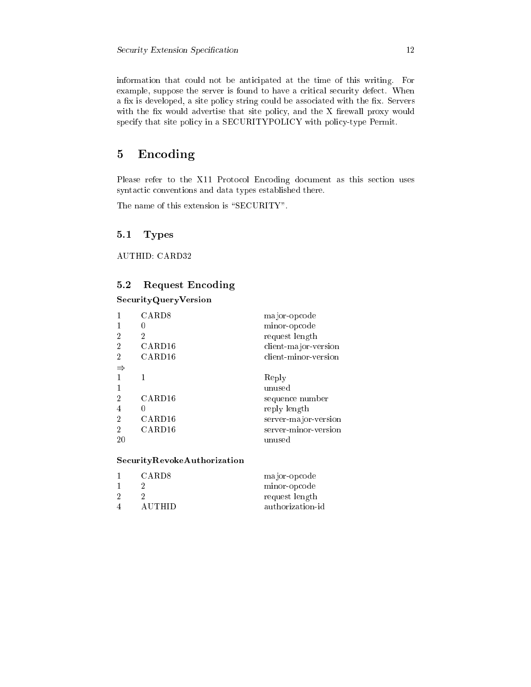information that could not be anticipated at the time of this writing. For example, suppose the server is found to have a critical security defect. When a fix is developed, a site policy string could be associated with the fix. Servers with the fix would advertise that site policy, and the X firewall proxy would specify that site policy in a SECURITYPOLICY with policy-type Permit.

#### Encoding  $\mathbf{5}$

Please refer to the X11 Protocol Encoding document as this section uses syntactic conventions and data types established there.

The name of this extension is "SECURITY".

#### $5.1$ **Types**

**AUTHID: CARD32** 

#### **Request Encoding**  $5.2$

SecurityQueryVersion

| $\overline{2}$<br>$\overline{2}$<br>2                              | CARD <sub>8</sub><br>2<br>CARD <sub>16</sub><br>CARD <sub>16</sub> | major-opcode<br>minor-opcode<br>request length<br>client-major-version<br>client-minor-version               |
|--------------------------------------------------------------------|--------------------------------------------------------------------|--------------------------------------------------------------------------------------------------------------|
| 1<br>$\overline{2}$<br>4<br>$\overline{2}$<br>$\overline{2}$<br>20 | CARD <sub>16</sub><br>CARD <sub>16</sub><br>CARD <sub>16</sub>     | Reply<br>unused<br>sequence number<br>reply length<br>server-major-version<br>server-minor-version<br>unused |

## SecurityRevokeAuthorization

| CARD8  | major-opcode     |
|--------|------------------|
|        | minor-opcode     |
|        | request length   |
| AUTHID | authorization-id |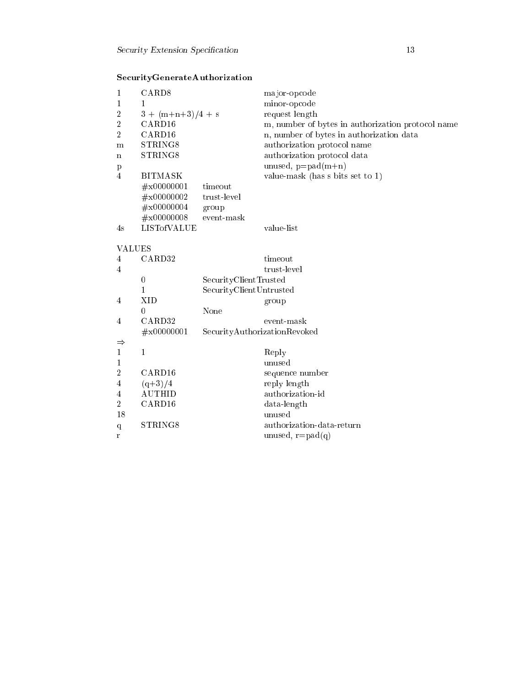| SecurityGenerateAuthorization |  |  |  |
|-------------------------------|--|--|--|
|                               |  |  |  |

| 1              | CARD <sub>8</sub>   |                                                  | major-opcode                                      |
|----------------|---------------------|--------------------------------------------------|---------------------------------------------------|
| 1              | 1                   |                                                  | minor-opcode                                      |
| $\overline{2}$ | $3 + (m+n+3)/4 + s$ |                                                  | request length                                    |
| $\overline{2}$ | CARD <sub>16</sub>  |                                                  | m, number of bytes in authorization protocol name |
| $\overline{2}$ | CARD16              |                                                  | n, number of bytes in authorization data          |
| m              | STRING8             |                                                  | authorization protocol name                       |
| $\mathbf n$    | STRING8             |                                                  | authorization protocol data                       |
| p              |                     |                                                  | unused, $p = pad(m+n)$                            |
| $\overline{4}$ | <b>BITMASK</b>      |                                                  | value-mask (has s bits set to $1$ )               |
|                | $\#x00000001$       | timeout                                          |                                                   |
|                | $\#x00000002$       | trust-level                                      |                                                   |
|                | $\#x00000004$       | group                                            |                                                   |
|                | $\#x00000008$       | event-mask                                       |                                                   |
| 4s             | <b>LISTofVALUE</b>  |                                                  | value-list                                        |
|                |                     |                                                  |                                                   |
| VALUES         |                     |                                                  |                                                   |
| 4              | CARD32              |                                                  | timeout                                           |
| $\overline{4}$ |                     |                                                  | trust-level                                       |
|                | $\mathbf{0}$<br>1   | SecurityClientTrusted<br>SecurityClientUntrusted |                                                   |
| $\overline{4}$ | XID                 |                                                  |                                                   |
|                | $\theta$            | None                                             | group                                             |
| $\overline{4}$ | CARD32              |                                                  | event-mask                                        |
|                | $\#x00000001$       |                                                  | SecurityAuthorizationRevoked                      |
| $\Rightarrow$  |                     |                                                  |                                                   |
| 1              | $\mathbf{1}$        |                                                  | Reply                                             |
| 1              |                     |                                                  | unused                                            |
| $\overline{2}$ | CARD16              |                                                  | sequence number                                   |
| 4              | $(q+3)/4$           |                                                  | reply length                                      |
| 4              | <b>AUTHID</b>       |                                                  | authorization-id                                  |
| $\overline{2}$ | CARD16              |                                                  | data-length                                       |
| 18             |                     |                                                  | unused                                            |
| $\mathbf q$    | STRING8             |                                                  | authorization-data-return                         |
| r              |                     |                                                  | unused, $r = pad(q)$                              |
|                |                     |                                                  |                                                   |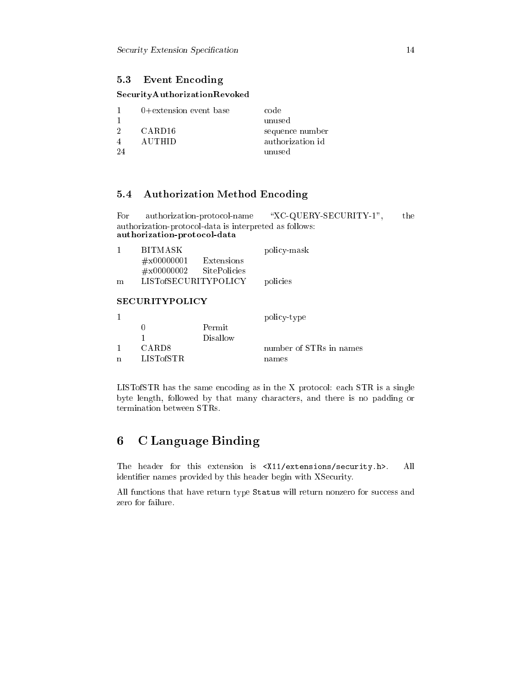## 5.3 Event Encoding

## SecurityAuthorizationRevoked

|    | $0+$ extension event base | code             |
|----|---------------------------|------------------|
|    |                           | unused           |
| 2  | CARD <sub>16</sub>        | sequence number  |
|    | AUTHID                    | authorization id |
| 24 |                           | unused           |

#### $5.4$ **Authorization Method Encoding**

"XC-QUERY-SECURITY-1", For authorization-protocol-name the authorization-protocol-data is interpreted as follows: authorization-protocol-data

| Т. | BITMASK                     |              | policy-mask |
|----|-----------------------------|--------------|-------------|
|    | $\#x00000001$               | Extensions   |             |
|    | $\#x00000002$               | SitePolicies |             |
| m  | <b>LISTofSECURITYPOLICY</b> |              | policies    |
|    |                             |              |             |

## **SECURITYPOLICY**

|             |            |          | policy-type             |
|-------------|------------|----------|-------------------------|
|             |            | Permit   |                         |
|             |            | Disallow |                         |
|             | CARD8      |          | number of STRs in names |
| $\mathbf n$ | LISTofSTR. |          | names                   |
|             |            |          |                         |

LIST of STR has the same encoding as in the X protocol: each STR is a single byte length, followed by that many characters, and there is no padding or termination between STRs.

#### **C** Language Binding 6

The header for this extension is <X11/extensions/security.h>. All identifier names provided by this header begin with XSecurity.

All functions that have return type Status will return nonzero for success and zero for failure.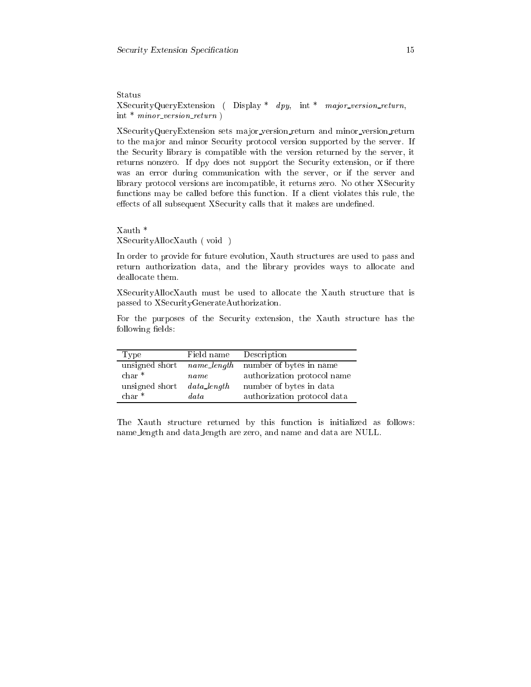Status

XSe
urityQueryExtension ( Display \* dpy, int \* major version return, int  $*$  minor\_version\_return )

XSe
urityQueryExtension sets ma jor version return and minor version return to the major and minor Security protocol version supported by the server. If the Se
urity library is ompatible with the version returned by the server, it returns nonzero. If dpy does not support the Se
urity extension, or if there was an error during communication with the server, or if the server and library protocol versions are incompatible, it returns zero. No other XSecurity functions may be called before this function. If a client violates this rule, the effects of all subsequent XSecurity calls that it makes are undefined.

Xauth \* XSe
urityAllo
Xauth ( void )

In order to provide for future evolution, Xauth structures are used to pass and return authorization data, and the library provides ways to allocate and deallocate them.

XSe
urityAllo
Xauth must be used to allo
ate the Xauth stru
ture that is passed to XSe
urityGenerateAuthorization.

For the purposes of the Security extension, the Xauth structure has the following fields:

| Type           | Field name     | Description                 |
|----------------|----------------|-----------------------------|
| unsigned short | name_length    | number of bytes in name     |
| $char *$       | name           | authorization protocol name |
| unsigned short | $data\_length$ | number of bytes in data     |
| $char *$       | data           | authorization protocol data |

The Xauth structure returned by this function is initialized as follows: name length and data length are zero, and name and data are NULL.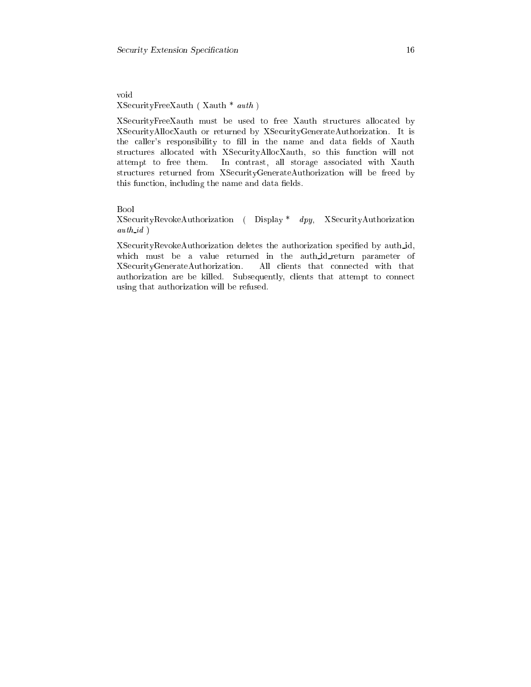void XSe
urityFreeXauth ( Xauth \* auth )

XSe
urityFreeXauth must be used to free Xauth stru
tures allo
ated by XSe
urityAllo
Xauth or returned by XSe
urityGenerateAuthorization. It is the caller's responsibility to fill in the name and data fields of Xauth structures allocated with XSecurityAllocXauth, so this function will not attempt to free them. In ontrast, all storage asso
iated with Xauth structures returned from XSecurityGenerateAuthorization will be freed by this function, including the name and data fields.

## Bool

XSe
urityRevokeAuthorization ( Display \* dpy, XSe
urityAuthorization auth id )

XSecurityRevokeAuthorization deletes the authorization specified by auth\_id, which must be a value returned in the auth\_id\_return parameter of XSe
urityGenerateAuthorization. All lients that onne
ted with that authorization are be killed. Subsequently, clients that attempt to connect using that authorization will be refused.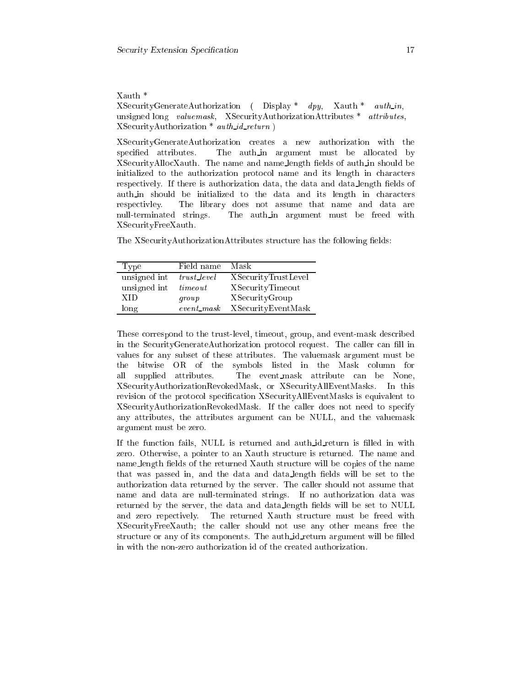## Xauth \*

XSecurityGenerateAuthorization (Display \* dpy, Xauth \* auth\_in, unsigned long valuemask, XSecurityAuthorizationAttributes \* attributes,  $X$ SecurityAuthorization \* *auth\_id\_return*)

XSe
urityGenerateAuthorization reates a new authorization with the specified attributes. The auth-in argument must be allocated by XSecurityAllocXauth. The name and name\_length fields of auth\_in should be initialized to the authorization protocol name and its length in characters respectively. If there is authorization data, the data and data\_length fields of auth in should be initialized to the data and its length in characters respe
tivley. The library does not assume that name and data are null-terminated strings. The auth in argument must be freed with XSe
urityFreeXauth.

The XSecurityAuthorizationAttributes structure has the following fields:

| Type         | Field name    | Mask                       |
|--------------|---------------|----------------------------|
| unsigned int | trust_level   | <b>XSecurityTrustLevel</b> |
| unsigned int | time out      | XSecurityTimeout           |
| XID          | group         | XSecurityGroup             |
| long         | $event\_mask$ | XSecurityEventMask         |

These correspond to the trust-level, timeout, group, and event-mask described in the SecurityGenerateAuthorization protocol request. The caller can fill in values for any subset of these attributes. The valuemask argument must be the bitwise OR of the symbols listed in the Mask olumn for all supplied attributes. The event mask attribute an be None, XSe
urityAuthorizationRevokedMask, or XSe
urityAllEventMasks. In this revision of the protocol specification XSecurityAllEventMasks is equivalent to XSe
urityAuthorizationRevokedMask. If the aller does not need to spe
ify any attributes, the attributes argument an be NULL, and the valuemask argument must be zero.

If the function fails, NULL is returned and auth\_id\_return is filled in with zero. Otherwise, a pointer to an Xauth structure is returned. The name and name\_length fields of the returned Xauth structure will be copies of the name that was passed in, and the data and data length fields will be set to the authorization data returned by the server. The aller should not assume that name and data are null-terminated strings. If no authorization data was returned by the server, the data and data\_length fields will be set to NULL and zero repe
tively. The returned Xauth stru
ture must be freed with XSe
urityFreeXauth; the aller should not use any other means free the structure or any of its components. The auth<sub>id</sub>-return argument will be filled in with the non-zero authorization id of the created authorization.